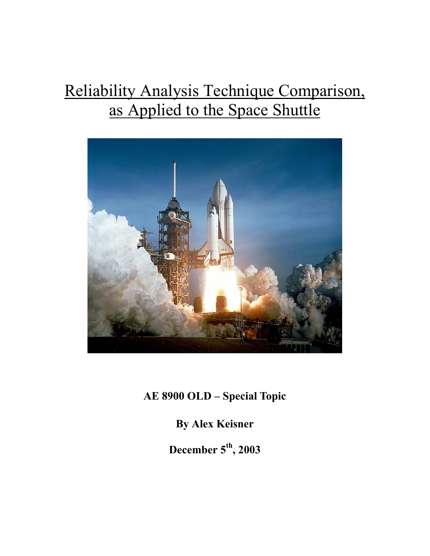# Reliability Analysis Technique Comparison, as Applied to the Space Shuttle



**AE 8900 OLD – Special Topic** 

**By Alex Keisner** 

**December 5th, 2003**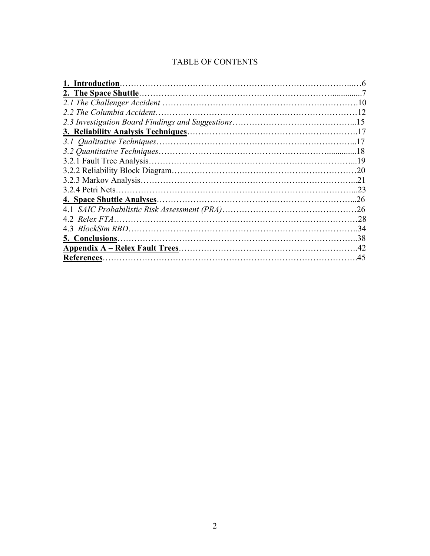# TABLE OF CONTENTS

| 2.2 The Columbia Accident | 12  |
|---------------------------|-----|
|                           |     |
|                           |     |
|                           | 17  |
|                           | 18  |
|                           |     |
|                           | .20 |
|                           | 21  |
|                           | 23  |
|                           | .26 |
|                           | .26 |
|                           | .28 |
|                           | .34 |
|                           | .38 |
|                           | .42 |
| References.               | .45 |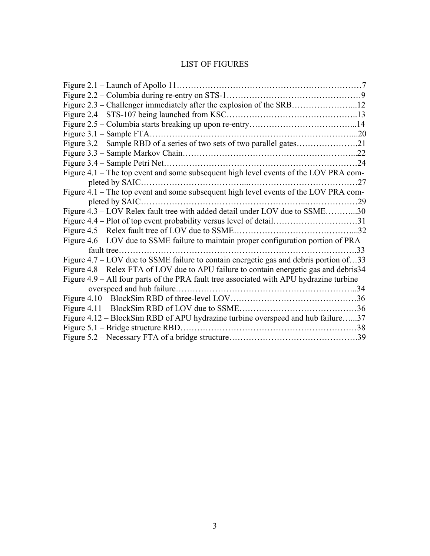# LIST OF FIGURES

| Figure $3.1$ – Sample FTA                                                               |     |
|-----------------------------------------------------------------------------------------|-----|
|                                                                                         |     |
|                                                                                         |     |
|                                                                                         | 24  |
| Figure 4.1 – The top event and some subsequent high level events of the LOV PRA com-    |     |
|                                                                                         | .27 |
| Figure 4.1 – The top event and some subsequent high level events of the LOV PRA com-    |     |
| pleted by SAIC                                                                          | 29  |
| Figure 4.3 – LOV Relex fault tree with added detail under LOV due to SSME30             |     |
| Figure 4.4 – Plot of top event probability versus level of detail31                     |     |
| Figure 4.5 - Relex fault tree of LOV due to SSME.                                       | 32  |
| Figure 4.6 – LOV due to SSME failure to maintain proper configuration portion of PRA    |     |
|                                                                                         | 33  |
| Figure 4.7 – LOV due to SSME failure to contain energetic gas and debris portion of33   |     |
| Figure 4.8 - Relex FTA of LOV due to APU failure to contain energetic gas and debris34  |     |
| Figure 4.9 – All four parts of the PRA fault tree associated with APU hydrazine turbine |     |
|                                                                                         |     |
|                                                                                         |     |
|                                                                                         | .36 |
| Figure 4.12 – BlockSim RBD of APU hydrazine turbine overspeed and hub failure37         |     |
|                                                                                         | .38 |
|                                                                                         |     |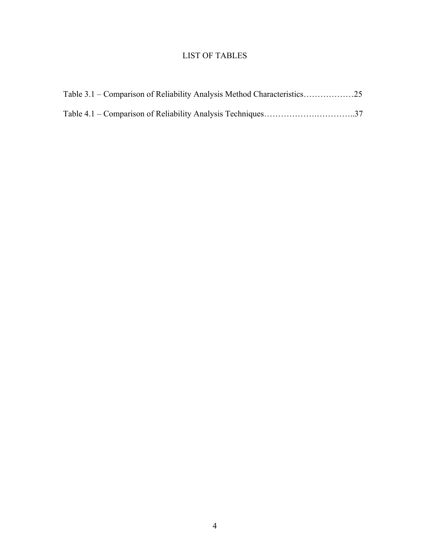# LIST OF TABLES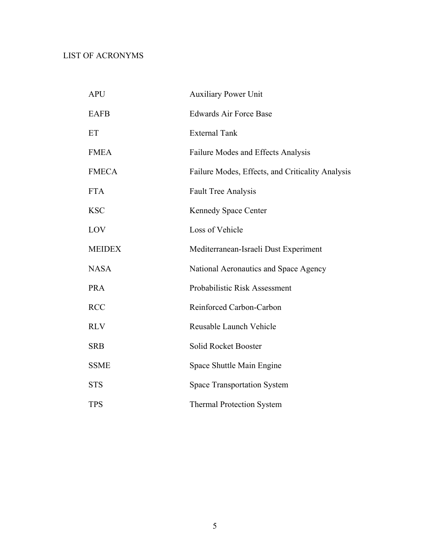# LIST OF ACRONYMS

| <b>APU</b>    | <b>Auxiliary Power Unit</b>                      |
|---------------|--------------------------------------------------|
| <b>EAFB</b>   | <b>Edwards Air Force Base</b>                    |
| ET            | <b>External Tank</b>                             |
| <b>FMEA</b>   | Failure Modes and Effects Analysis               |
| <b>FMECA</b>  | Failure Modes, Effects, and Criticality Analysis |
| <b>FTA</b>    | <b>Fault Tree Analysis</b>                       |
| <b>KSC</b>    | <b>Kennedy Space Center</b>                      |
| LOV           | Loss of Vehicle                                  |
| <b>MEIDEX</b> | Mediterranean-Israeli Dust Experiment            |
| <b>NASA</b>   | National Aeronautics and Space Agency            |
| <b>PRA</b>    | Probabilistic Risk Assessment                    |
| <b>RCC</b>    | Reinforced Carbon-Carbon                         |
| <b>RLV</b>    | Reusable Launch Vehicle                          |
| <b>SRB</b>    | Solid Rocket Booster                             |
| <b>SSME</b>   | Space Shuttle Main Engine                        |
| <b>STS</b>    | <b>Space Transportation System</b>               |
| <b>TPS</b>    | <b>Thermal Protection System</b>                 |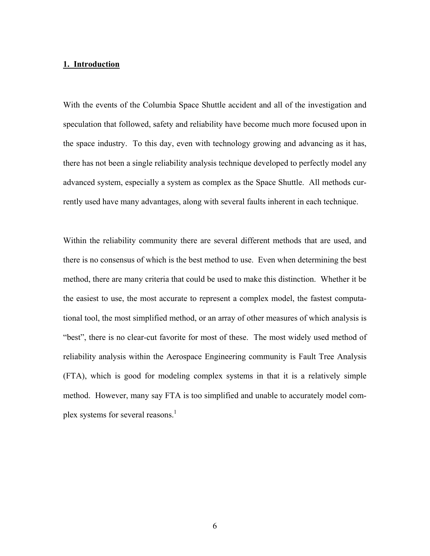#### **1. Introduction**

With the events of the Columbia Space Shuttle accident and all of the investigation and speculation that followed, safety and reliability have become much more focused upon in the space industry. To this day, even with technology growing and advancing as it has, there has not been a single reliability analysis technique developed to perfectly model any advanced system, especially a system as complex as the Space Shuttle. All methods currently used have many advantages, along with several faults inherent in each technique.

Within the reliability community there are several different methods that are used, and there is no consensus of which is the best method to use. Even when determining the best method, there are many criteria that could be used to make this distinction. Whether it be the easiest to use, the most accurate to represent a complex model, the fastest computational tool, the most simplified method, or an array of other measures of which analysis is "best", there is no clear-cut favorite for most of these. The most widely used method of reliability analysis within the Aerospace Engineering community is Fault Tree Analysis (FTA), which is good for modeling complex systems in that it is a relatively simple method. However, many say FTA is too simplified and unable to accurately model complex systems for several reasons.<sup>1</sup>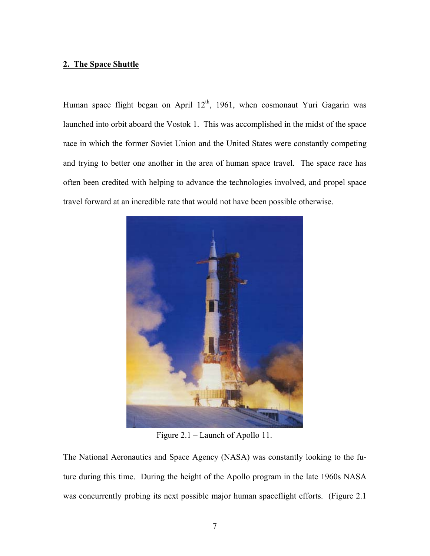## **2. The Space Shuttle**

Human space flight began on April  $12<sup>th</sup>$ , 1961, when cosmonaut Yuri Gagarin was launched into orbit aboard the Vostok 1. This was accomplished in the midst of the space race in which the former Soviet Union and the United States were constantly competing and trying to better one another in the area of human space travel. The space race has often been credited with helping to advance the technologies involved, and propel space travel forward at an incredible rate that would not have been possible otherwise.



Figure 2.1 – Launch of Apollo 11.

The National Aeronautics and Space Agency (NASA) was constantly looking to the future during this time. During the height of the Apollo program in the late 1960s NASA was concurrently probing its next possible major human spaceflight efforts. (Figure 2.1)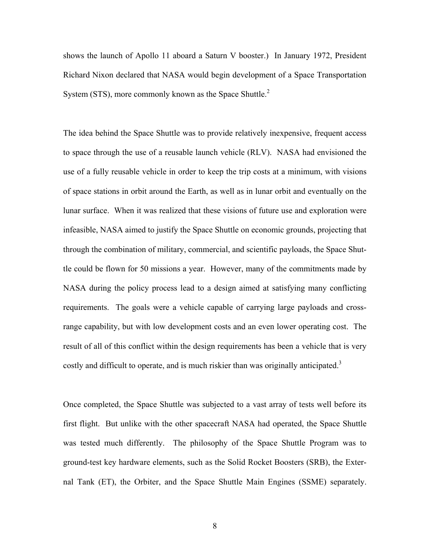shows the launch of Apollo 11 aboard a Saturn V booster.) In January 1972, President Richard Nixon declared that NASA would begin development of a Space Transportation System (STS), more commonly known as the Space Shuttle. $2^2$ 

The idea behind the Space Shuttle was to provide relatively inexpensive, frequent access to space through the use of a reusable launch vehicle (RLV). NASA had envisioned the use of a fully reusable vehicle in order to keep the trip costs at a minimum, with visions of space stations in orbit around the Earth, as well as in lunar orbit and eventually on the lunar surface. When it was realized that these visions of future use and exploration were infeasible, NASA aimed to justify the Space Shuttle on economic grounds, projecting that through the combination of military, commercial, and scientific payloads, the Space Shuttle could be flown for 50 missions a year. However, many of the commitments made by NASA during the policy process lead to a design aimed at satisfying many conflicting requirements. The goals were a vehicle capable of carrying large payloads and crossrange capability, but with low development costs and an even lower operating cost. The result of all of this conflict within the design requirements has been a vehicle that is very costly and difficult to operate, and is much riskier than was originally anticipated.<sup>3</sup>

Once completed, the Space Shuttle was subjected to a vast array of tests well before its first flight. But unlike with the other spacecraft NASA had operated, the Space Shuttle was tested much differently. The philosophy of the Space Shuttle Program was to ground-test key hardware elements, such as the Solid Rocket Boosters (SRB), the External Tank (ET), the Orbiter, and the Space Shuttle Main Engines (SSME) separately.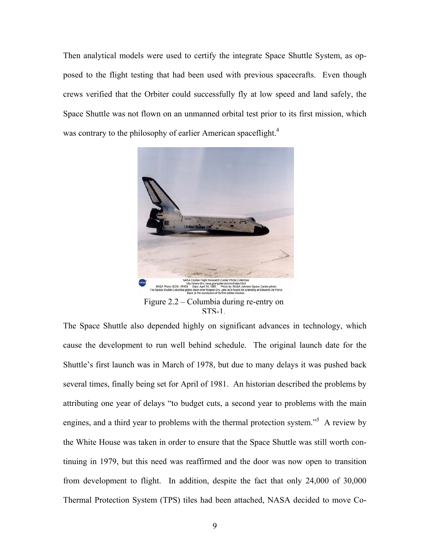Then analytical models were used to certify the integrate Space Shuttle System, as opposed to the flight testing that had been used with previous spacecrafts. Even though crews verified that the Orbiter could successfully fly at low speed and land safely, the Space Shuttle was not flown on an unmanned orbital test prior to its first mission, which was contrary to the philosophy of earlier American spaceflight.<sup>4</sup>



STS-1.

The Space Shuttle also depended highly on significant advances in technology, which cause the development to run well behind schedule. The original launch date for the Shuttle's first launch was in March of 1978, but due to many delays it was pushed back several times, finally being set for April of 1981. An historian described the problems by attributing one year of delays "to budget cuts, a second year to problems with the main engines, and a third year to problems with the thermal protection system.<sup>55</sup> A review by the White House was taken in order to ensure that the Space Shuttle was still worth continuing in 1979, but this need was reaffirmed and the door was now open to transition from development to flight. In addition, despite the fact that only 24,000 of 30,000 Thermal Protection System (TPS) tiles had been attached, NASA decided to move Co-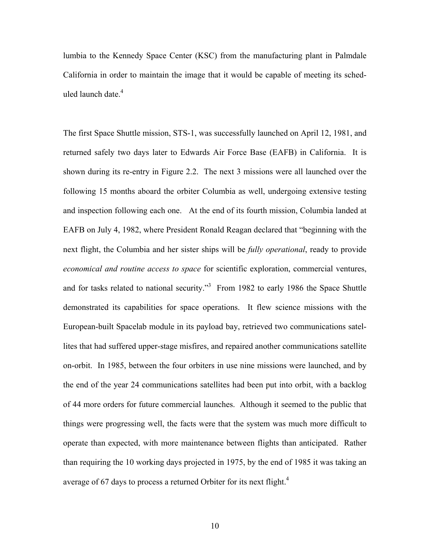lumbia to the Kennedy Space Center (KSC) from the manufacturing plant in Palmdale California in order to maintain the image that it would be capable of meeting its scheduled launch date.<sup>4</sup>

The first Space Shuttle mission, STS-1, was successfully launched on April 12, 1981, and returned safely two days later to Edwards Air Force Base (EAFB) in California. It is shown during its re-entry in Figure 2.2. The next 3 missions were all launched over the following 15 months aboard the orbiter Columbia as well, undergoing extensive testing and inspection following each one. At the end of its fourth mission, Columbia landed at EAFB on July 4, 1982, where President Ronald Reagan declared that "beginning with the next flight, the Columbia and her sister ships will be *fully operational*, ready to provide *economical and routine access to space* for scientific exploration, commercial ventures, and for tasks related to national security.<sup>3</sup> From 1982 to early 1986 the Space Shuttle demonstrated its capabilities for space operations. It flew science missions with the European-built Spacelab module in its payload bay, retrieved two communications satellites that had suffered upper-stage misfires, and repaired another communications satellite on-orbit. In 1985, between the four orbiters in use nine missions were launched, and by the end of the year 24 communications satellites had been put into orbit, with a backlog of 44 more orders for future commercial launches. Although it seemed to the public that things were progressing well, the facts were that the system was much more difficult to operate than expected, with more maintenance between flights than anticipated. Rather than requiring the 10 working days projected in 1975, by the end of 1985 it was taking an average of 67 days to process a returned Orbiter for its next flight.<sup>4</sup>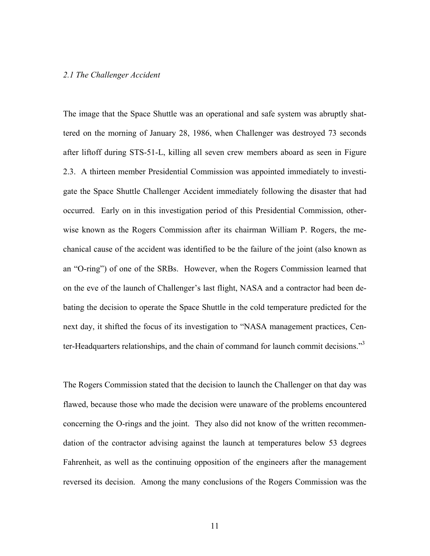#### *2.1 The Challenger Accident*

The image that the Space Shuttle was an operational and safe system was abruptly shattered on the morning of January 28, 1986, when Challenger was destroyed 73 seconds after liftoff during STS-51-L, killing all seven crew members aboard as seen in Figure 2.3. A thirteen member Presidential Commission was appointed immediately to investigate the Space Shuttle Challenger Accident immediately following the disaster that had occurred. Early on in this investigation period of this Presidential Commission, otherwise known as the Rogers Commission after its chairman William P. Rogers, the mechanical cause of the accident was identified to be the failure of the joint (also known as an "O-ring") of one of the SRBs. However, when the Rogers Commission learned that on the eve of the launch of Challenger's last flight, NASA and a contractor had been debating the decision to operate the Space Shuttle in the cold temperature predicted for the next day, it shifted the focus of its investigation to "NASA management practices, Center-Headquarters relationships, and the chain of command for launch commit decisions."<sup>3</sup>

The Rogers Commission stated that the decision to launch the Challenger on that day was flawed, because those who made the decision were unaware of the problems encountered concerning the O-rings and the joint. They also did not know of the written recommendation of the contractor advising against the launch at temperatures below 53 degrees Fahrenheit, as well as the continuing opposition of the engineers after the management reversed its decision. Among the many conclusions of the Rogers Commission was the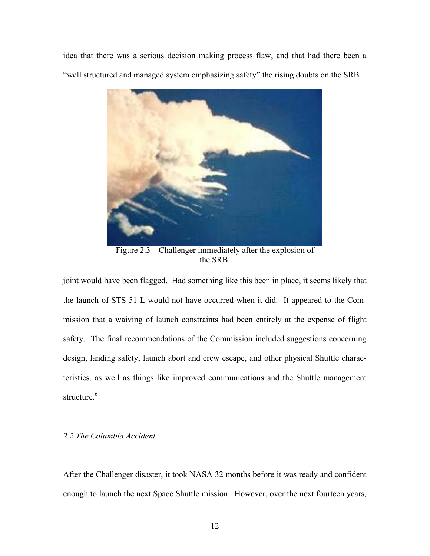idea that there was a serious decision making process flaw, and that had there been a "well structured and managed system emphasizing safety" the rising doubts on the SRB



Figure 2.3 – Challenger immediately after the explosion of the SRB.

joint would have been flagged. Had something like this been in place, it seems likely that the launch of STS-51-L would not have occurred when it did. It appeared to the Commission that a waiving of launch constraints had been entirely at the expense of flight safety. The final recommendations of the Commission included suggestions concerning design, landing safety, launch abort and crew escape, and other physical Shuttle characteristics, as well as things like improved communications and the Shuttle management structure.<sup>6</sup>

## *2.2 The Columbia Accident*

After the Challenger disaster, it took NASA 32 months before it was ready and confident enough to launch the next Space Shuttle mission. However, over the next fourteen years,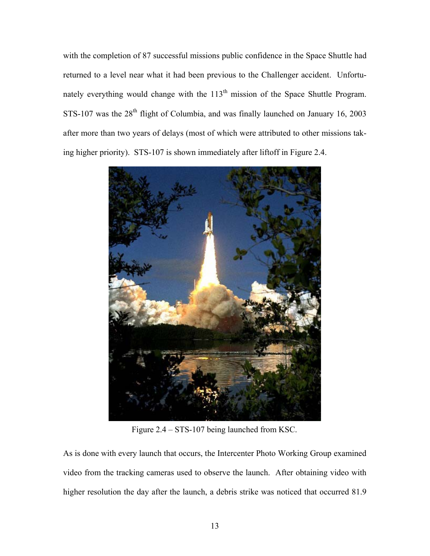with the completion of 87 successful missions public confidence in the Space Shuttle had returned to a level near what it had been previous to the Challenger accident. Unfortunately everything would change with the  $113<sup>th</sup>$  mission of the Space Shuttle Program. STS-107 was the  $28<sup>th</sup>$  flight of Columbia, and was finally launched on January 16, 2003 after more than two years of delays (most of which were attributed to other missions taking higher priority). STS-107 is shown immediately after liftoff in Figure 2.4.



Figure 2.4 – STS-107 being launched from KSC.

As is done with every launch that occurs, the Intercenter Photo Working Group examined video from the tracking cameras used to observe the launch. After obtaining video with higher resolution the day after the launch, a debris strike was noticed that occurred 81.9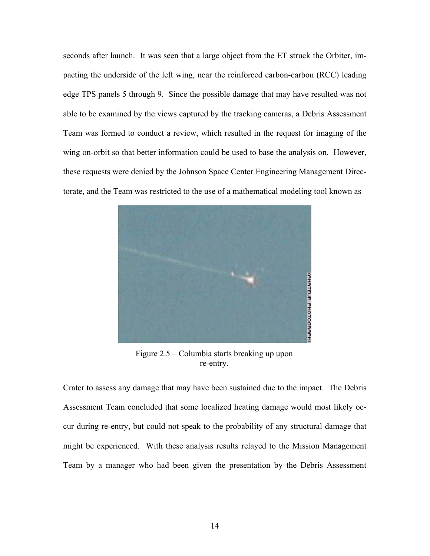seconds after launch. It was seen that a large object from the ET struck the Orbiter, impacting the underside of the left wing, near the reinforced carbon-carbon (RCC) leading edge TPS panels 5 through 9. Since the possible damage that may have resulted was not able to be examined by the views captured by the tracking cameras, a Debris Assessment Team was formed to conduct a review, which resulted in the request for imaging of the wing on-orbit so that better information could be used to base the analysis on. However, these requests were denied by the Johnson Space Center Engineering Management Directorate, and the Team was restricted to the use of a mathematical modeling tool known as



Figure 2.5 – Columbia starts breaking up upon re-entry.

Crater to assess any damage that may have been sustained due to the impact. The Debris Assessment Team concluded that some localized heating damage would most likely occur during re-entry, but could not speak to the probability of any structural damage that might be experienced. With these analysis results relayed to the Mission Management Team by a manager who had been given the presentation by the Debris Assessment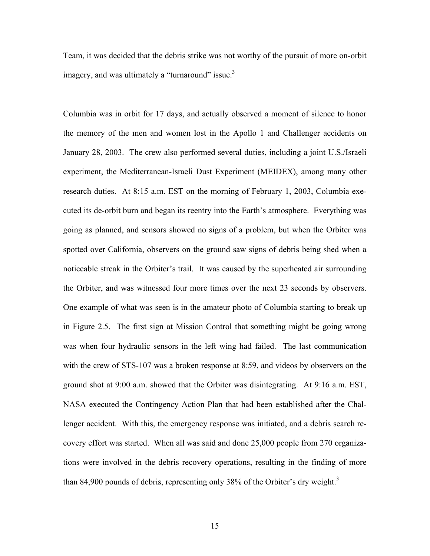Team, it was decided that the debris strike was not worthy of the pursuit of more on-orbit imagery, and was ultimately a "turnaround" issue.<sup>3</sup>

Columbia was in orbit for 17 days, and actually observed a moment of silence to honor the memory of the men and women lost in the Apollo 1 and Challenger accidents on January 28, 2003. The crew also performed several duties, including a joint U.S./Israeli experiment, the Mediterranean-Israeli Dust Experiment (MEIDEX), among many other research duties. At 8:15 a.m. EST on the morning of February 1, 2003, Columbia executed its de-orbit burn and began its reentry into the Earth's atmosphere. Everything was going as planned, and sensors showed no signs of a problem, but when the Orbiter was spotted over California, observers on the ground saw signs of debris being shed when a noticeable streak in the Orbiter's trail. It was caused by the superheated air surrounding the Orbiter, and was witnessed four more times over the next 23 seconds by observers. One example of what was seen is in the amateur photo of Columbia starting to break up in Figure 2.5. The first sign at Mission Control that something might be going wrong was when four hydraulic sensors in the left wing had failed. The last communication with the crew of STS-107 was a broken response at 8:59, and videos by observers on the ground shot at 9:00 a.m. showed that the Orbiter was disintegrating. At 9:16 a.m. EST, NASA executed the Contingency Action Plan that had been established after the Challenger accident. With this, the emergency response was initiated, and a debris search recovery effort was started. When all was said and done 25,000 people from 270 organizations were involved in the debris recovery operations, resulting in the finding of more than 84,900 pounds of debris, representing only 38% of the Orbiter's dry weight.<sup>3</sup>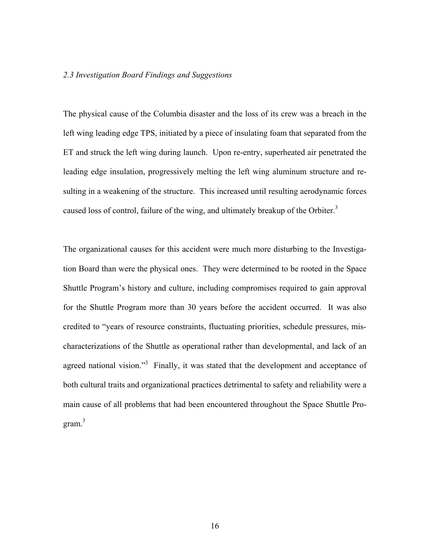#### *2.3 Investigation Board Findings and Suggestions*

The physical cause of the Columbia disaster and the loss of its crew was a breach in the left wing leading edge TPS, initiated by a piece of insulating foam that separated from the ET and struck the left wing during launch. Upon re-entry, superheated air penetrated the leading edge insulation, progressively melting the left wing aluminum structure and resulting in a weakening of the structure. This increased until resulting aerodynamic forces caused loss of control, failure of the wing, and ultimately breakup of the Orbiter.<sup>3</sup>

The organizational causes for this accident were much more disturbing to the Investigation Board than were the physical ones. They were determined to be rooted in the Space Shuttle Program's history and culture, including compromises required to gain approval for the Shuttle Program more than 30 years before the accident occurred. It was also credited to "years of resource constraints, fluctuating priorities, schedule pressures, mischaracterizations of the Shuttle as operational rather than developmental, and lack of an agreed national vision."<sup>3</sup> Finally, it was stated that the development and acceptance of both cultural traits and organizational practices detrimental to safety and reliability were a main cause of all problems that had been encountered throughout the Space Shuttle Program. $3$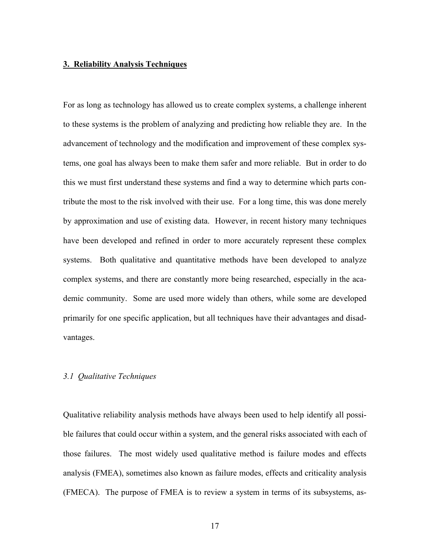#### **3. Reliability Analysis Techniques**

For as long as technology has allowed us to create complex systems, a challenge inherent to these systems is the problem of analyzing and predicting how reliable they are. In the advancement of technology and the modification and improvement of these complex systems, one goal has always been to make them safer and more reliable. But in order to do this we must first understand these systems and find a way to determine which parts contribute the most to the risk involved with their use. For a long time, this was done merely by approximation and use of existing data. However, in recent history many techniques have been developed and refined in order to more accurately represent these complex systems. Both qualitative and quantitative methods have been developed to analyze complex systems, and there are constantly more being researched, especially in the academic community. Some are used more widely than others, while some are developed primarily for one specific application, but all techniques have their advantages and disadvantages.

# *3.1 Qualitative Techniques*

Qualitative reliability analysis methods have always been used to help identify all possible failures that could occur within a system, and the general risks associated with each of those failures. The most widely used qualitative method is failure modes and effects analysis (FMEA), sometimes also known as failure modes, effects and criticality analysis (FMECA). The purpose of FMEA is to review a system in terms of its subsystems, as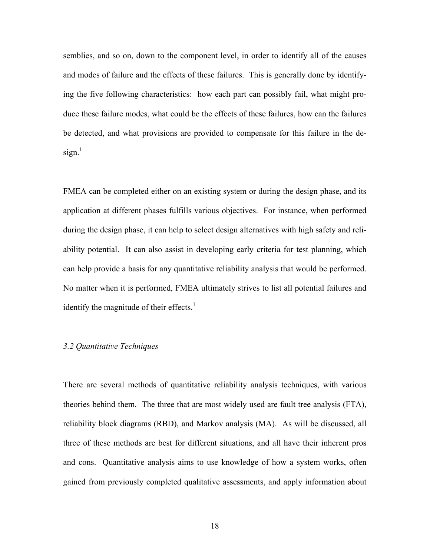semblies, and so on, down to the component level, in order to identify all of the causes and modes of failure and the effects of these failures. This is generally done by identifying the five following characteristics: how each part can possibly fail, what might produce these failure modes, what could be the effects of these failures, how can the failures be detected, and what provisions are provided to compensate for this failure in the de $sign.$ <sup>1</sup>

FMEA can be completed either on an existing system or during the design phase, and its application at different phases fulfills various objectives. For instance, when performed during the design phase, it can help to select design alternatives with high safety and reliability potential. It can also assist in developing early criteria for test planning, which can help provide a basis for any quantitative reliability analysis that would be performed. No matter when it is performed, FMEA ultimately strives to list all potential failures and identify the magnitude of their effects. $<sup>1</sup>$ </sup>

#### *3.2 Quantitative Techniques*

There are several methods of quantitative reliability analysis techniques, with various theories behind them. The three that are most widely used are fault tree analysis (FTA), reliability block diagrams (RBD), and Markov analysis (MA). As will be discussed, all three of these methods are best for different situations, and all have their inherent pros and cons. Quantitative analysis aims to use knowledge of how a system works, often gained from previously completed qualitative assessments, and apply information about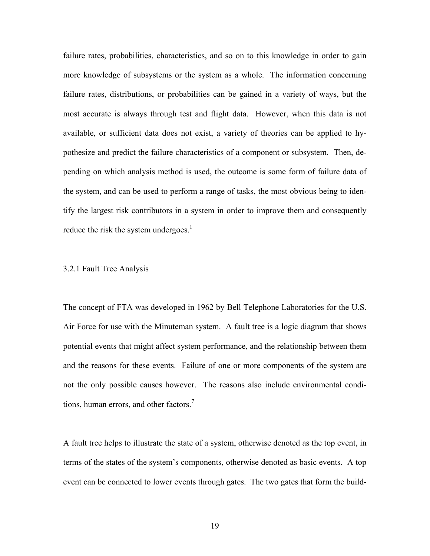failure rates, probabilities, characteristics, and so on to this knowledge in order to gain more knowledge of subsystems or the system as a whole. The information concerning failure rates, distributions, or probabilities can be gained in a variety of ways, but the most accurate is always through test and flight data. However, when this data is not available, or sufficient data does not exist, a variety of theories can be applied to hypothesize and predict the failure characteristics of a component or subsystem. Then, depending on which analysis method is used, the outcome is some form of failure data of the system, and can be used to perform a range of tasks, the most obvious being to identify the largest risk contributors in a system in order to improve them and consequently reduce the risk the system undergoes. $<sup>1</sup>$ </sup>

#### 3.2.1 Fault Tree Analysis

The concept of FTA was developed in 1962 by Bell Telephone Laboratories for the U.S. Air Force for use with the Minuteman system. A fault tree is a logic diagram that shows potential events that might affect system performance, and the relationship between them and the reasons for these events. Failure of one or more components of the system are not the only possible causes however. The reasons also include environmental conditions, human errors, and other factors.<sup>7</sup>

A fault tree helps to illustrate the state of a system, otherwise denoted as the top event, in terms of the states of the system's components, otherwise denoted as basic events. A top event can be connected to lower events through gates. The two gates that form the build-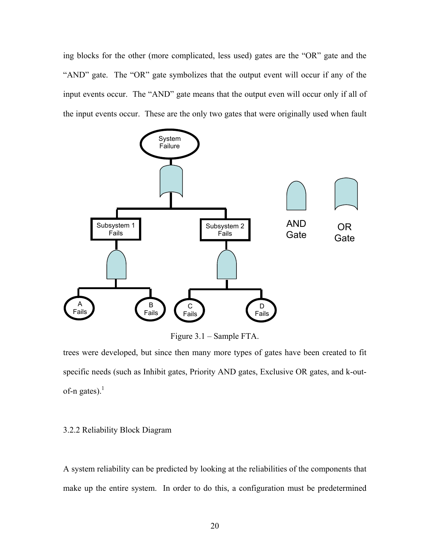ing blocks for the other (more complicated, less used) gates are the "OR" gate and the "AND" gate. The "OR" gate symbolizes that the output event will occur if any of the input events occur. The "AND" gate means that the output even will occur only if all of the input events occur. These are the only two gates that were originally used when fault



Figure 3.1 – Sample FTA.

trees were developed, but since then many more types of gates have been created to fit specific needs (such as Inhibit gates, Priority AND gates, Exclusive OR gates, and k-outof-n gates). $<sup>1</sup>$ </sup>

## 3.2.2 Reliability Block Diagram

A system reliability can be predicted by looking at the reliabilities of the components that make up the entire system. In order to do this, a configuration must be predetermined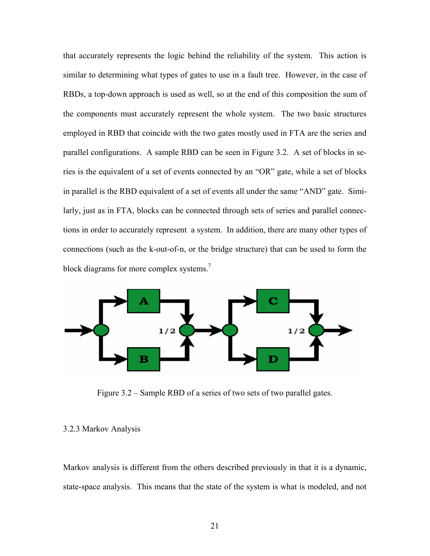that accurately represents the logic behind the reliability of the system. This action is similar to determining what types of gates to use in a fault tree. However, in the case of RBDs, a top-down approach is used as well, so at the end of this composition the sum of the components must accurately represent the whole system. The two basic structures employed in RBD that coincide with the two gates mostly used in FTA are the series and parallel configurations. A sample RBD can be seen in Figure 3.2. A set of blocks in series is the equivalent of a set of events connected by an "OR" gate, while a set of blocks in parallel is the RBD equivalent of a set of events all under the same "AND" gate. Similarly, just as in FTA, blocks can be connected through sets of series and parallel connections in order to accurately represent a system. In addition, there are many other types of connections (such as the k-out-of-n, or the bridge structure) that can be used to form the block diagrams for more complex systems.<sup>7</sup>



Figure 3.2 – Sample RBD of a series of two sets of two parallel gates.

#### 3.2.3 Markov Analysis

Markov analysis is different from the others described previously in that it is a dynamic, state-space analysis. This means that the state of the system is what is modeled, and not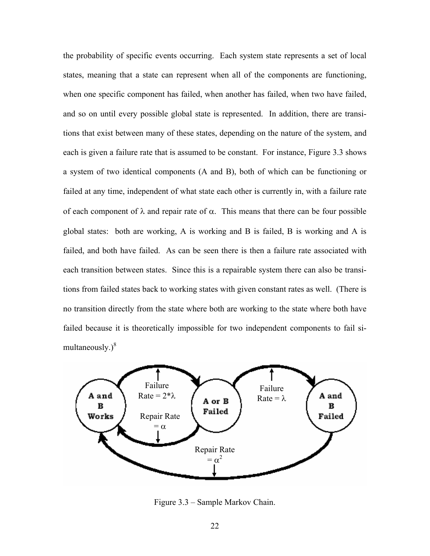the probability of specific events occurring. Each system state represents a set of local states, meaning that a state can represent when all of the components are functioning, when one specific component has failed, when another has failed, when two have failed, and so on until every possible global state is represented. In addition, there are transitions that exist between many of these states, depending on the nature of the system, and each is given a failure rate that is assumed to be constant. For instance, Figure 3.3 shows a system of two identical components (A and B), both of which can be functioning or failed at any time, independent of what state each other is currently in, with a failure rate of each component of λ and repair rate of α. This means that there can be four possible global states: both are working, A is working and B is failed, B is working and A is failed, and both have failed. As can be seen there is then a failure rate associated with each transition between states. Since this is a repairable system there can also be transitions from failed states back to working states with given constant rates as well. (There is no transition directly from the state where both are working to the state where both have failed because it is theoretically impossible for two independent components to fail simultaneously. $)^8$ 



Figure 3.3 – Sample Markov Chain.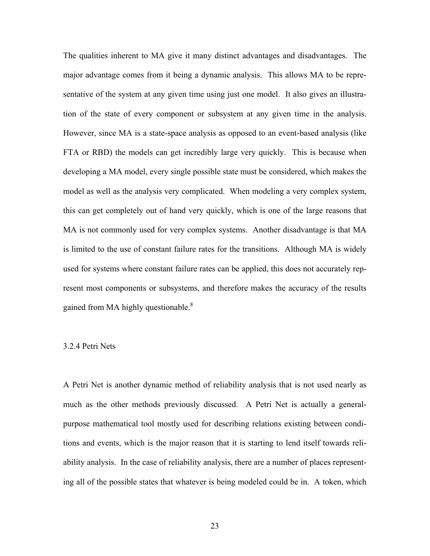The qualities inherent to MA give it many distinct advantages and disadvantages. The major advantage comes from it being a dynamic analysis. This allows MA to be representative of the system at any given time using just one model. It also gives an illustration of the state of every component or subsystem at any given time in the analysis. However, since MA is a state-space analysis as opposed to an event-based analysis (like FTA or RBD) the models can get incredibly large very quickly. This is because when developing a MA model, every single possible state must be considered, which makes the model as well as the analysis very complicated. When modeling a very complex system, this can get completely out of hand very quickly, which is one of the large reasons that MA is not commonly used for very complex systems. Another disadvantage is that MA is limited to the use of constant failure rates for the transitions. Although MA is widely used for systems where constant failure rates can be applied, this does not accurately represent most components or subsystems, and therefore makes the accuracy of the results gained from MA highly questionable. $8$ 

#### 3.2.4 Petri Nets

A Petri Net is another dynamic method of reliability analysis that is not used nearly as much as the other methods previously discussed. A Petri Net is actually a generalpurpose mathematical tool mostly used for describing relations existing between conditions and events, which is the major reason that it is starting to lend itself towards reliability analysis. In the case of reliability analysis, there are a number of places representing all of the possible states that whatever is being modeled could be in. A token, which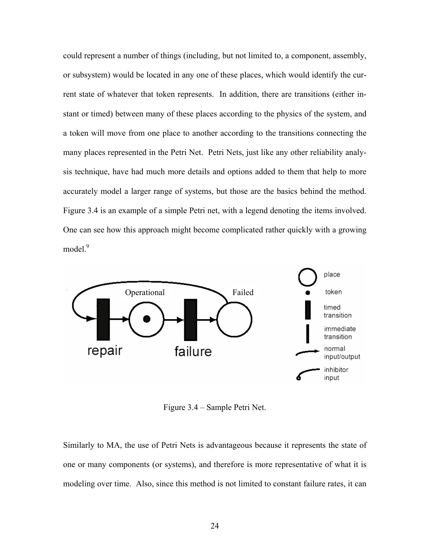could represent a number of things (including, but not limited to, a component, assembly, or subsystem) would be located in any one of these places, which would identify the current state of whatever that token represents. In addition, there are transitions (either instant or timed) between many of these places according to the physics of the system, and a token will move from one place to another according to the transitions connecting the many places represented in the Petri Net. Petri Nets, just like any other reliability analysis technique, have had much more details and options added to them that help to more accurately model a larger range of systems, but those are the basics behind the method. Figure 3.4 is an example of a simple Petri net, with a legend denoting the items involved. One can see how this approach might become complicated rather quickly with a growing model.<sup>9</sup>



Figure 3.4 – Sample Petri Net.

Similarly to MA, the use of Petri Nets is advantageous because it represents the state of one or many components (or systems), and therefore is more representative of what it is modeling over time. Also, since this method is not limited to constant failure rates, it can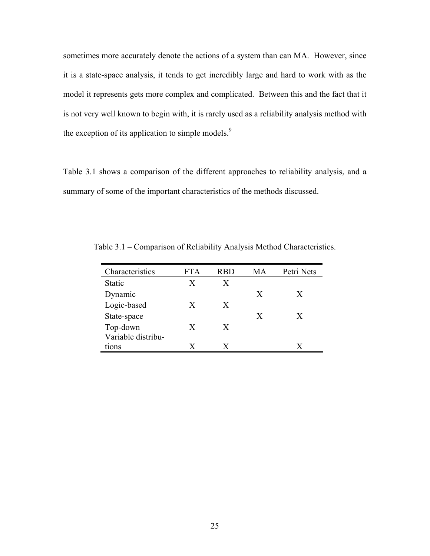sometimes more accurately denote the actions of a system than can MA. However, since it is a state-space analysis, it tends to get incredibly large and hard to work with as the model it represents gets more complex and complicated. Between this and the fact that it is not very well known to begin with, it is rarely used as a reliability analysis method with the exception of its application to simple models.<sup>9</sup>

Table 3.1 shows a comparison of the different approaches to reliability analysis, and a summary of some of the important characteristics of the methods discussed.

| Characteristics    | FTA | RBD | MА | Petri Nets |
|--------------------|-----|-----|----|------------|
| <b>Static</b>      | X   | X   |    |            |
| Dynamic            |     |     | X  | X          |
| Logic-based        | X   | X   |    |            |
| State-space        |     |     | X  | X          |
| Top-down           | X   | X   |    |            |
| Variable distribu- |     |     |    |            |
| tions              | X   | X   |    | X          |

Table 3.1 – Comparison of Reliability Analysis Method Characteristics.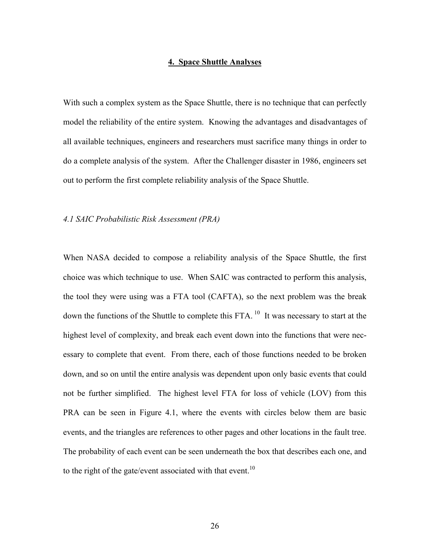## **4. Space Shuttle Analyses**

With such a complex system as the Space Shuttle, there is no technique that can perfectly model the reliability of the entire system. Knowing the advantages and disadvantages of all available techniques, engineers and researchers must sacrifice many things in order to do a complete analysis of the system. After the Challenger disaster in 1986, engineers set out to perform the first complete reliability analysis of the Space Shuttle.

#### *4.1 SAIC Probabilistic Risk Assessment (PRA)*

When NASA decided to compose a reliability analysis of the Space Shuttle, the first choice was which technique to use. When SAIC was contracted to perform this analysis, the tool they were using was a FTA tool (CAFTA), so the next problem was the break down the functions of the Shuttle to complete this FTA.<sup>10</sup> It was necessary to start at the highest level of complexity, and break each event down into the functions that were necessary to complete that event. From there, each of those functions needed to be broken down, and so on until the entire analysis was dependent upon only basic events that could not be further simplified. The highest level FTA for loss of vehicle (LOV) from this PRA can be seen in Figure 4.1, where the events with circles below them are basic events, and the triangles are references to other pages and other locations in the fault tree. The probability of each event can be seen underneath the box that describes each one, and to the right of the gate/event associated with that event.<sup>10</sup>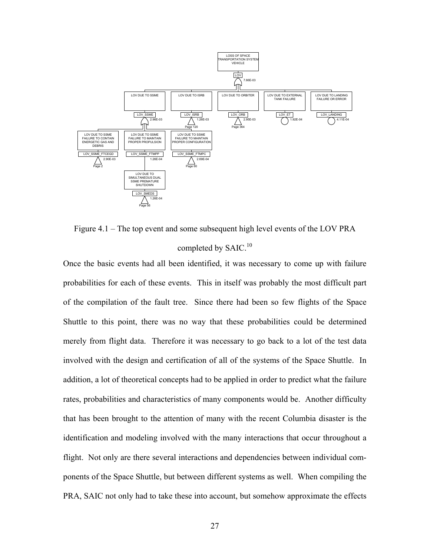

Figure 4.1 – The top event and some subsequent high level events of the LOV PRA completed by SAIC.<sup>10</sup>

Once the basic events had all been identified, it was necessary to come up with failure probabilities for each of these events. This in itself was probably the most difficult part of the compilation of the fault tree. Since there had been so few flights of the Space Shuttle to this point, there was no way that these probabilities could be determined merely from flight data. Therefore it was necessary to go back to a lot of the test data involved with the design and certification of all of the systems of the Space Shuttle. In addition, a lot of theoretical concepts had to be applied in order to predict what the failure rates, probabilities and characteristics of many components would be. Another difficulty that has been brought to the attention of many with the recent Columbia disaster is the identification and modeling involved with the many interactions that occur throughout a flight. Not only are there several interactions and dependencies between individual components of the Space Shuttle, but between different systems as well. When compiling the PRA, SAIC not only had to take these into account, but somehow approximate the effects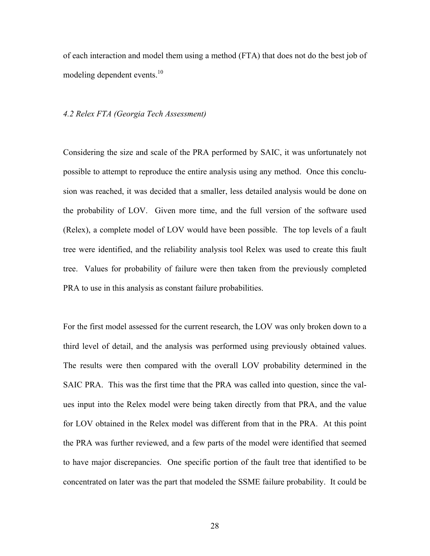of each interaction and model them using a method (FTA) that does not do the best job of modeling dependent events.<sup>10</sup>

#### *4.2 Relex FTA (Georgia Tech Assessment)*

Considering the size and scale of the PRA performed by SAIC, it was unfortunately not possible to attempt to reproduce the entire analysis using any method. Once this conclusion was reached, it was decided that a smaller, less detailed analysis would be done on the probability of LOV. Given more time, and the full version of the software used (Relex), a complete model of LOV would have been possible. The top levels of a fault tree were identified, and the reliability analysis tool Relex was used to create this fault tree. Values for probability of failure were then taken from the previously completed PRA to use in this analysis as constant failure probabilities.

For the first model assessed for the current research, the LOV was only broken down to a third level of detail, and the analysis was performed using previously obtained values. The results were then compared with the overall LOV probability determined in the SAIC PRA. This was the first time that the PRA was called into question, since the values input into the Relex model were being taken directly from that PRA, and the value for LOV obtained in the Relex model was different from that in the PRA. At this point the PRA was further reviewed, and a few parts of the model were identified that seemed to have major discrepancies. One specific portion of the fault tree that identified to be concentrated on later was the part that modeled the SSME failure probability. It could be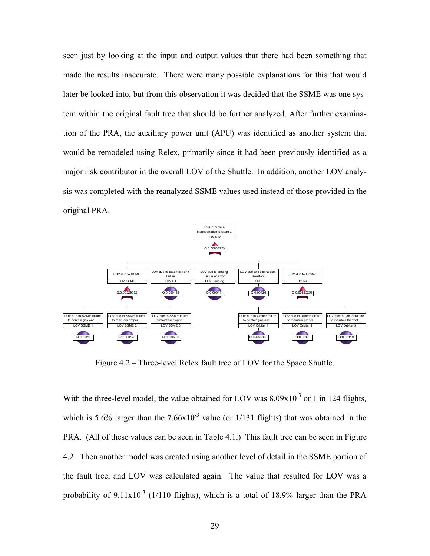seen just by looking at the input and output values that there had been something that made the results inaccurate. There were many possible explanations for this that would later be looked into, but from this observation it was decided that the SSME was one system within the original fault tree that should be further analyzed. After further examination of the PRA, the auxiliary power unit (APU) was identified as another system that would be remodeled using Relex, primarily since it had been previously identified as a major risk contributor in the overall LOV of the Shuttle. In addition, another LOV analysis was completed with the reanalyzed SSME values used instead of those provided in the original PRA.



Figure 4.2 – Three-level Relex fault tree of LOV for the Space Shuttle.

With the three-level model, the value obtained for LOV was  $8.09x10^{-3}$  or 1 in 124 flights, which is 5.6% larger than the  $7.66x10^{-3}$  value (or 1/131 flights) that was obtained in the PRA. (All of these values can be seen in Table 4.1.) This fault tree can be seen in Figure 4.2. Then another model was created using another level of detail in the SSME portion of the fault tree, and LOV was calculated again. The value that resulted for LOV was a probability of  $9.11x10^{-3}$  (1/110 flights), which is a total of 18.9% larger than the PRA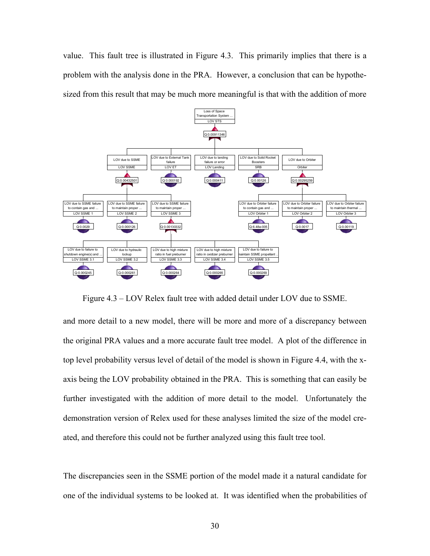value. This fault tree is illustrated in Figure 4.3. This primarily implies that there is a problem with the analysis done in the PRA. However, a conclusion that can be hypothesized from this result that may be much more meaningful is that with the addition of more



Figure 4.3 – LOV Relex fault tree with added detail under LOV due to SSME.

and more detail to a new model, there will be more and more of a discrepancy between the original PRA values and a more accurate fault tree model. A plot of the difference in top level probability versus level of detail of the model is shown in Figure 4.4, with the xaxis being the LOV probability obtained in the PRA. This is something that can easily be further investigated with the addition of more detail to the model. Unfortunately the demonstration version of Relex used for these analyses limited the size of the model created, and therefore this could not be further analyzed using this fault tree tool.

The discrepancies seen in the SSME portion of the model made it a natural candidate for one of the individual systems to be looked at. It was identified when the probabilities of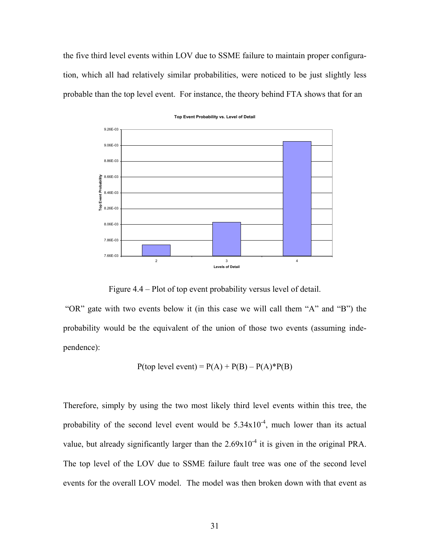the five third level events within LOV due to SSME failure to maintain proper configuration, which all had relatively similar probabilities, were noticed to be just slightly less probable than the top level event. For instance, the theory behind FTA shows that for an



**Top Event Probability vs. Level of Detail**

Figure 4.4 – Plot of top event probability versus level of detail.

 "OR" gate with two events below it (in this case we will call them "A" and "B") the probability would be the equivalent of the union of those two events (assuming independence):

$$
P(top level event) = P(A) + P(B) - P(A)*P(B)
$$

Therefore, simply by using the two most likely third level events within this tree, the probability of the second level event would be  $5.34x10^{-4}$ , much lower than its actual value, but already significantly larger than the  $2.69x10^{-4}$  it is given in the original PRA. The top level of the LOV due to SSME failure fault tree was one of the second level events for the overall LOV model. The model was then broken down with that event as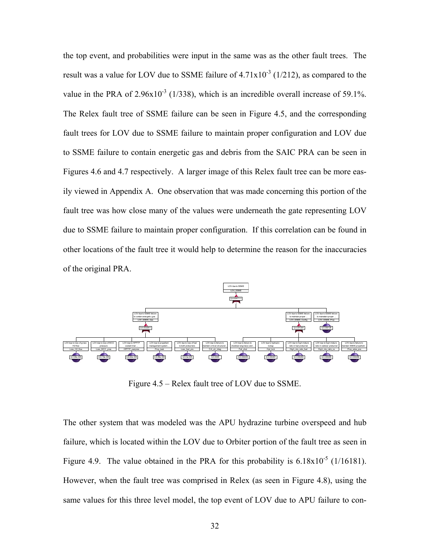the top event, and probabilities were input in the same was as the other fault trees. The result was a value for LOV due to SSME failure of  $4.71 \times 10^{-3}$  (1/212), as compared to the value in the PRA of  $2.96x10^{-3}$  (1/338), which is an incredible overall increase of 59.1%. The Relex fault tree of SSME failure can be seen in Figure 4.5, and the corresponding fault trees for LOV due to SSME failure to maintain proper configuration and LOV due to SSME failure to contain energetic gas and debris from the SAIC PRA can be seen in Figures 4.6 and 4.7 respectively. A larger image of this Relex fault tree can be more easily viewed in Appendix A. One observation that was made concerning this portion of the fault tree was how close many of the values were underneath the gate representing LOV due to SSME failure to maintain proper configuration. If this correlation can be found in other locations of the fault tree it would help to determine the reason for the inaccuracies of the original PRA.



Figure 4.5 – Relex fault tree of LOV due to SSME.

The other system that was modeled was the APU hydrazine turbine overspeed and hub failure, which is located within the LOV due to Orbiter portion of the fault tree as seen in Figure 4.9. The value obtained in the PRA for this probability is  $6.18 \times 10^{-5}$  (1/16181). However, when the fault tree was comprised in Relex (as seen in Figure 4.8), using the same values for this three level model, the top event of LOV due to APU failure to con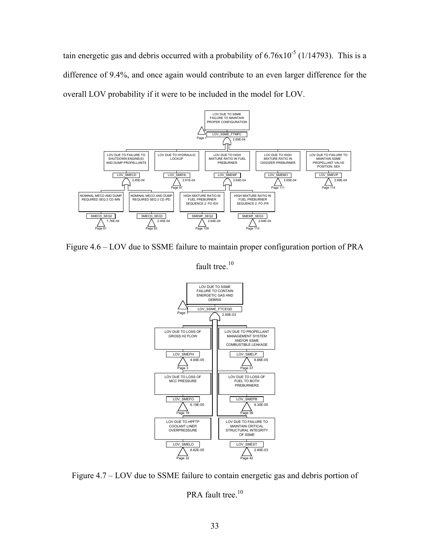tain energetic gas and debris occurred with a probability of  $6.76x10^{-5}$  (1/14793). This is a difference of 9.4%, and once again would contribute to an even larger difference for the overall LOV probability if it were to be included in the model for LOV.



Figure 4.6 – LOV due to SSME failure to maintain proper configuration portion of PRA



Figure 4.7 – LOV due to SSME failure to contain energetic gas and debris portion of

PRA fault tree.<sup>10</sup>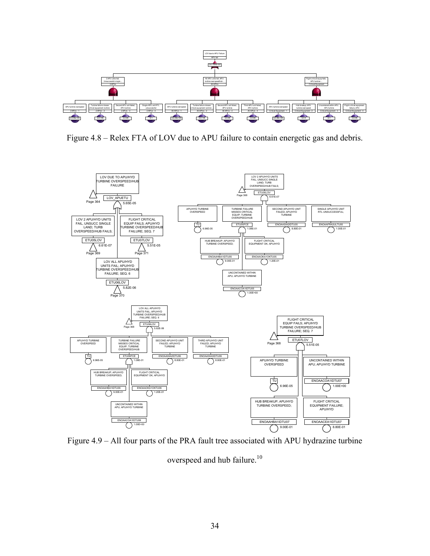

Figure 4.8 – Relex FTA of LOV due to APU failure to contain energetic gas and debris.



Figure 4.9 – All four parts of the PRA fault tree associated with APU hydrazine turbine

overspeed and hub failure.<sup>10</sup>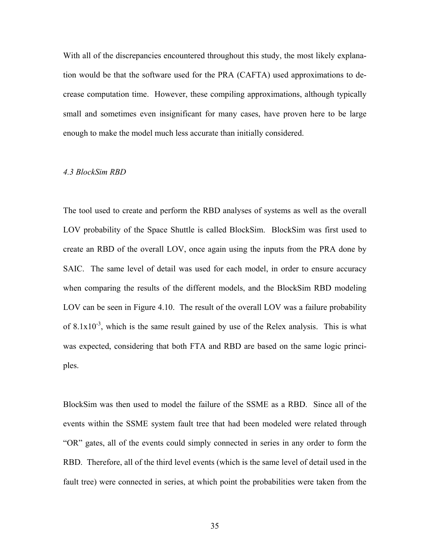With all of the discrepancies encountered throughout this study, the most likely explanation would be that the software used for the PRA (CAFTA) used approximations to decrease computation time. However, these compiling approximations, although typically small and sometimes even insignificant for many cases, have proven here to be large enough to make the model much less accurate than initially considered.

#### *4.3 BlockSim RBD*

The tool used to create and perform the RBD analyses of systems as well as the overall LOV probability of the Space Shuttle is called BlockSim. BlockSim was first used to create an RBD of the overall LOV, once again using the inputs from the PRA done by SAIC. The same level of detail was used for each model, in order to ensure accuracy when comparing the results of the different models, and the BlockSim RBD modeling LOV can be seen in Figure 4.10. The result of the overall LOV was a failure probability of  $8.1x10^{-3}$ , which is the same result gained by use of the Relex analysis. This is what was expected, considering that both FTA and RBD are based on the same logic principles.

BlockSim was then used to model the failure of the SSME as a RBD. Since all of the events within the SSME system fault tree that had been modeled were related through "OR" gates, all of the events could simply connected in series in any order to form the RBD. Therefore, all of the third level events (which is the same level of detail used in the fault tree) were connected in series, at which point the probabilities were taken from the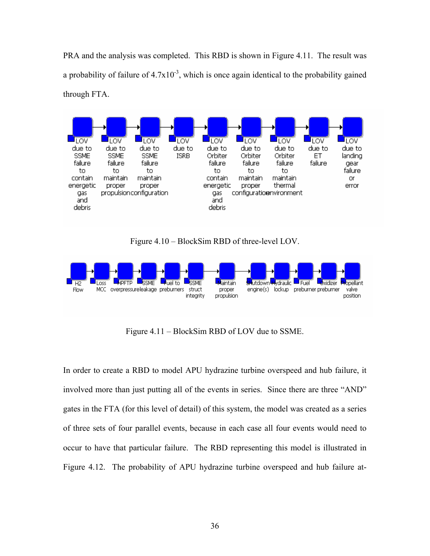PRA and the analysis was completed. This RBD is shown in Figure 4.11. The result was a probability of failure of  $4.7x10^{-3}$ , which is once again identical to the probability gained through FTA.



Figure 4.10 – BlockSim RBD of three-level LOV.



Figure 4.11 – BlockSim RBD of LOV due to SSME.

In order to create a RBD to model APU hydrazine turbine overspeed and hub failure, it involved more than just putting all of the events in series. Since there are three "AND" gates in the FTA (for this level of detail) of this system, the model was created as a series of three sets of four parallel events, because in each case all four events would need to occur to have that particular failure. The RBD representing this model is illustrated in Figure 4.12. The probability of APU hydrazine turbine overspeed and hub failure at-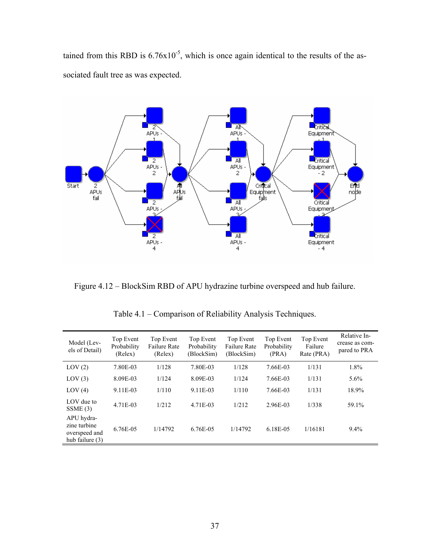tained from this RBD is  $6.76x10^{-5}$ , which is once again identical to the results of the associated fault tree as was expected.



Figure 4.12 – BlockSim RBD of APU hydrazine turbine overspeed and hub failure.

| Model (Lev-<br>els of Detail)                                  | Top Event<br>Probability<br>(Relex) | Top Event<br><b>Failure Rate</b><br>(Relex) | Top Event<br>Probability<br>(BlockSim) | Top Event<br><b>Failure Rate</b><br>(BlockSim) | Top Event<br>Probability<br>(PRA) | Top Event<br>Failure<br>Rate (PRA) | Relative In-<br>crease as com-<br>pared to PRA |
|----------------------------------------------------------------|-------------------------------------|---------------------------------------------|----------------------------------------|------------------------------------------------|-----------------------------------|------------------------------------|------------------------------------------------|
| LOV(2)                                                         | 7.80E-03                            | 1/128                                       | 7.80E-03                               | 1/128                                          | 7.66E-03                          | 1/131                              | 1.8%                                           |
| LOV(3)                                                         | 8.09E-03                            | 1/124                                       | 8.09E-03                               | 1/124                                          | 7.66E-03                          | 1/131                              | $5.6\%$                                        |
| LOV(4)                                                         | 9.11E-03                            | 1/110                                       | 9.11E-03                               | 1/110                                          | 7.66E-03                          | 1/131                              | 18.9%                                          |
| LOV due to<br>SSME(3)                                          | 4.71E-03                            | 1/212                                       | 4.71E-03                               | 1/212                                          | 2.96E-03                          | 1/338                              | 59.1%                                          |
| APU hydra-<br>zine turbine<br>overspeed and<br>hub failure (3) | 6.76E-05                            | 1/14792                                     | 6.76E-05                               | 1/14792                                        | 6.18E-05                          | 1/16181                            | 9.4%                                           |

Table 4.1 – Comparison of Reliability Analysis Techniques.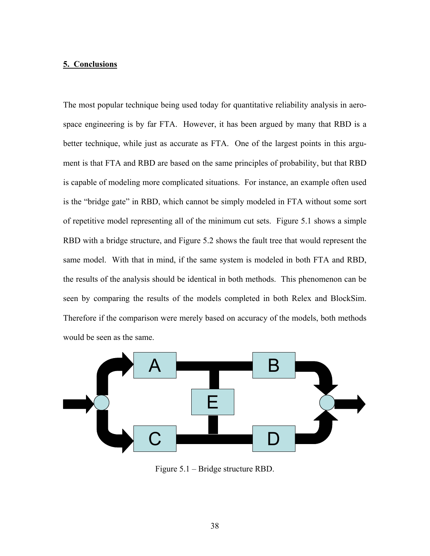# **5. Conclusions**

The most popular technique being used today for quantitative reliability analysis in aerospace engineering is by far FTA. However, it has been argued by many that RBD is a better technique, while just as accurate as FTA. One of the largest points in this argument is that FTA and RBD are based on the same principles of probability, but that RBD is capable of modeling more complicated situations. For instance, an example often used is the "bridge gate" in RBD, which cannot be simply modeled in FTA without some sort of repetitive model representing all of the minimum cut sets. Figure 5.1 shows a simple RBD with a bridge structure, and Figure 5.2 shows the fault tree that would represent the same model. With that in mind, if the same system is modeled in both FTA and RBD, the results of the analysis should be identical in both methods. This phenomenon can be seen by comparing the results of the models completed in both Relex and BlockSim. Therefore if the comparison were merely based on accuracy of the models, both methods would be seen as the same.



Figure 5.1 – Bridge structure RBD.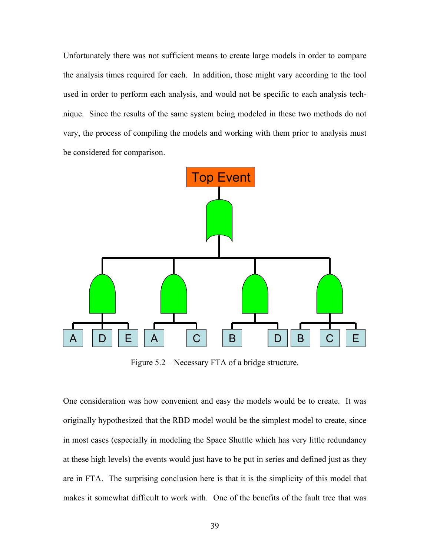Unfortunately there was not sufficient means to create large models in order to compare the analysis times required for each. In addition, those might vary according to the tool used in order to perform each analysis, and would not be specific to each analysis technique. Since the results of the same system being modeled in these two methods do not vary, the process of compiling the models and working with them prior to analysis must be considered for comparison.



Figure 5.2 – Necessary FTA of a bridge structure.

One consideration was how convenient and easy the models would be to create. It was originally hypothesized that the RBD model would be the simplest model to create, since in most cases (especially in modeling the Space Shuttle which has very little redundancy at these high levels) the events would just have to be put in series and defined just as they are in FTA. The surprising conclusion here is that it is the simplicity of this model that makes it somewhat difficult to work with. One of the benefits of the fault tree that was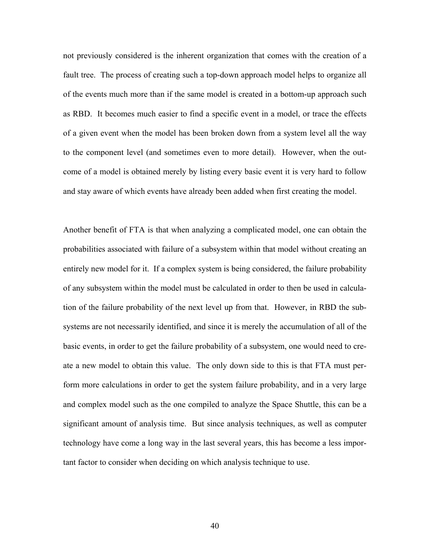not previously considered is the inherent organization that comes with the creation of a fault tree. The process of creating such a top-down approach model helps to organize all of the events much more than if the same model is created in a bottom-up approach such as RBD. It becomes much easier to find a specific event in a model, or trace the effects of a given event when the model has been broken down from a system level all the way to the component level (and sometimes even to more detail). However, when the outcome of a model is obtained merely by listing every basic event it is very hard to follow and stay aware of which events have already been added when first creating the model.

Another benefit of FTA is that when analyzing a complicated model, one can obtain the probabilities associated with failure of a subsystem within that model without creating an entirely new model for it. If a complex system is being considered, the failure probability of any subsystem within the model must be calculated in order to then be used in calculation of the failure probability of the next level up from that. However, in RBD the subsystems are not necessarily identified, and since it is merely the accumulation of all of the basic events, in order to get the failure probability of a subsystem, one would need to create a new model to obtain this value. The only down side to this is that FTA must perform more calculations in order to get the system failure probability, and in a very large and complex model such as the one compiled to analyze the Space Shuttle, this can be a significant amount of analysis time. But since analysis techniques, as well as computer technology have come a long way in the last several years, this has become a less important factor to consider when deciding on which analysis technique to use.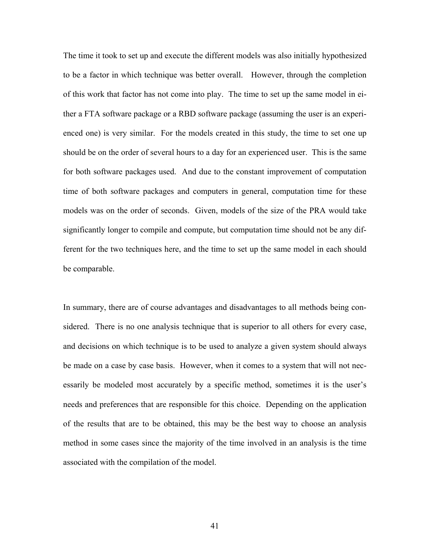The time it took to set up and execute the different models was also initially hypothesized to be a factor in which technique was better overall. However, through the completion of this work that factor has not come into play. The time to set up the same model in either a FTA software package or a RBD software package (assuming the user is an experienced one) is very similar. For the models created in this study, the time to set one up should be on the order of several hours to a day for an experienced user. This is the same for both software packages used. And due to the constant improvement of computation time of both software packages and computers in general, computation time for these models was on the order of seconds. Given, models of the size of the PRA would take significantly longer to compile and compute, but computation time should not be any different for the two techniques here, and the time to set up the same model in each should be comparable.

In summary, there are of course advantages and disadvantages to all methods being considered. There is no one analysis technique that is superior to all others for every case, and decisions on which technique is to be used to analyze a given system should always be made on a case by case basis. However, when it comes to a system that will not necessarily be modeled most accurately by a specific method, sometimes it is the user's needs and preferences that are responsible for this choice. Depending on the application of the results that are to be obtained, this may be the best way to choose an analysis method in some cases since the majority of the time involved in an analysis is the time associated with the compilation of the model.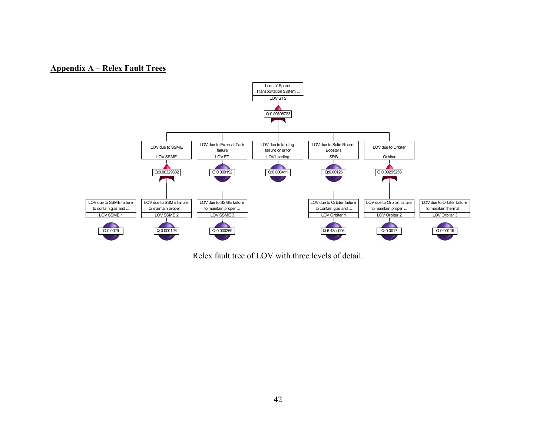# **Appendix A – Relex Fault Trees**



Relex fault tree of LOV with three levels of detail.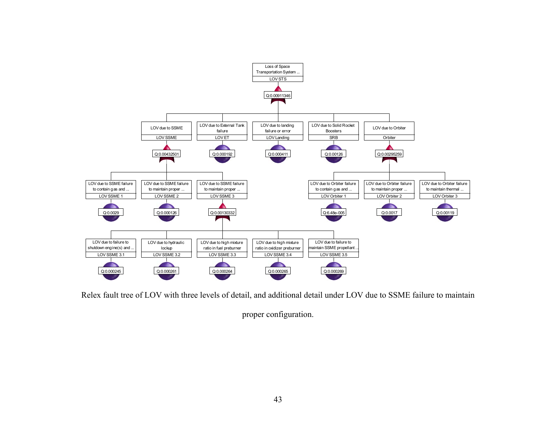

Relex fault tree of LOV with three levels of detail, and additional detail under LOV due to SSME failure to maintain

proper configuration.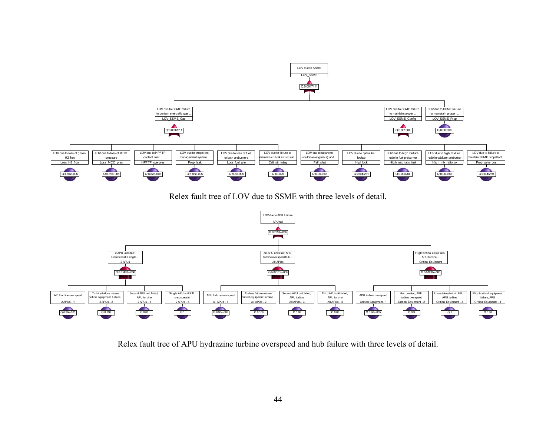

Relex fault tree of LOV due to SSME with three levels of detail.



Relex fault tree of APU hydrazine turbine overspeed and hub failure with three levels of detail.